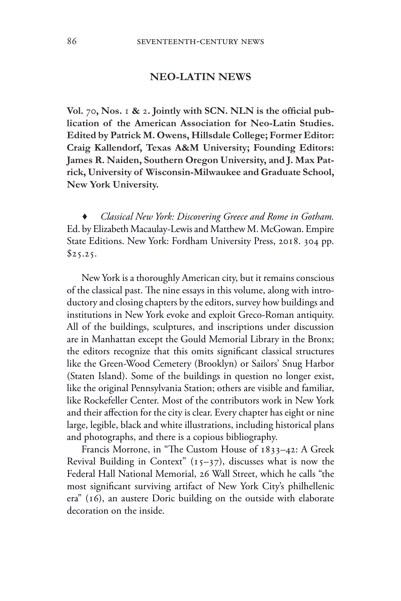## **NEO-LATIN NEWS**

**Vol.** 70**, Nos.** 1 **&** 2**. Jointly with SCN. NLN is the official publication of the American Association for Neo-Latin Studies. Edited by Patrick M. Owens, Hillsdale College; Former Editor: Craig Kallendorf, Texas A&M University; Founding Editors: James R. Naiden, Southern Oregon University, and J. Max Patrick, University of Wisconsin-Milwaukee and Graduate School, New York University.** 

♦ *Classical New York: Discovering Greece and Rome in Gotham.* Ed. by Elizabeth Macaulay-Lewis and Matthew M. McGowan. Empire State Editions. New York: Fordham University Press, 2018. 304 pp.  $$25.25.$ 

New York is a thoroughly American city, but it remains conscious of the classical past. The nine essays in this volume, along with introductory and closing chapters by the editors, survey how buildings and institutions in New York evoke and exploit Greco-Roman antiquity. All of the buildings, sculptures, and inscriptions under discussion are in Manhattan except the Gould Memorial Library in the Bronx; the editors recognize that this omits significant classical structures like the Green-Wood Cemetery (Brooklyn) or Sailors' Snug Harbor (Staten Island). Some of the buildings in question no longer exist, like the original Pennsylvania Station; others are visible and familiar, like Rockefeller Center. Most of the contributors work in New York and their affection for the city is clear. Every chapter has eight or nine large, legible, black and white illustrations, including historical plans and photographs, and there is a copious bibliography.

Francis Morrone, in "The Custom House of 1833–42: A Greek Revival Building in Context"  $(15-37)$ , discusses what is now the Federal Hall National Memorial, 26 Wall Street, which he calls "the most significant surviving artifact of New York City's philhellenic era" (16), an austere Doric building on the outside with elaborate decoration on the inside.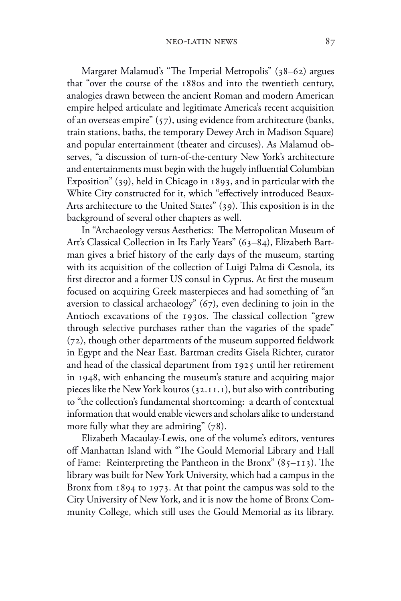Margaret Malamud's "The Imperial Metropolis" (38–62) argues that "over the course of the 1880s and into the twentieth century, analogies drawn between the ancient Roman and modern American empire helped articulate and legitimate America's recent acquisition of an overseas empire" (57), using evidence from architecture (banks, train stations, baths, the temporary Dewey Arch in Madison Square) and popular entertainment (theater and circuses). As Malamud observes, "a discussion of turn-of-the-century New York's architecture and entertainments must begin with the hugely influential Columbian Exposition" (39), held in Chicago in 1893, and in particular with the White City constructed for it, which "effectively introduced Beaux-Arts architecture to the United States" (39). This exposition is in the background of several other chapters as well.

In "Archaeology versus Aesthetics: The Metropolitan Museum of Art's Classical Collection in Its Early Years" (63–84), Elizabeth Bartman gives a brief history of the early days of the museum, starting with its acquisition of the collection of Luigi Palma di Cesnola, its first director and a former US consul in Cyprus. At first the museum focused on acquiring Greek masterpieces and had something of "an aversion to classical archaeology" (67), even declining to join in the Antioch excavations of the 1930s. The classical collection "grew through selective purchases rather than the vagaries of the spade" (72), though other departments of the museum supported fieldwork in Egypt and the Near East. Bartman credits Gisela Richter, curator and head of the classical department from 1925 until her retirement in 1948, with enhancing the museum's stature and acquiring major pieces like the New York kouros (32.11.1), but also with contributing to "the collection's fundamental shortcoming: a dearth of contextual information that would enable viewers and scholars alike to understand more fully what they are admiring" (78).

Elizabeth Macaulay-Lewis, one of the volume's editors, ventures off Manhattan Island with "The Gould Memorial Library and Hall of Fame: Reinterpreting the Pantheon in the Bronx"  $(85-113)$ . The library was built for New York University, which had a campus in the Bronx from 1894 to 1973. At that point the campus was sold to the City University of New York, and it is now the home of Bronx Community College, which still uses the Gould Memorial as its library.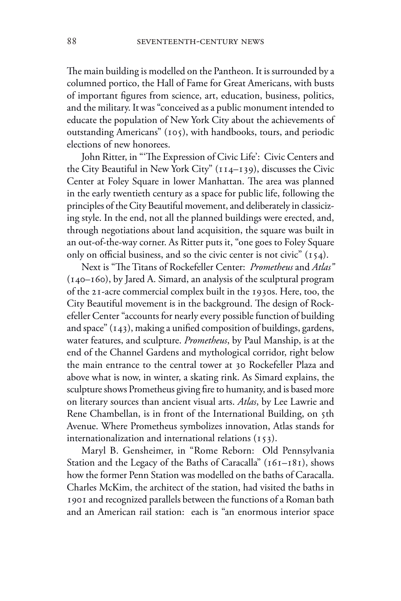The main building is modelled on the Pantheon. It is surrounded by a columned portico, the Hall of Fame for Great Americans, with busts of important figures from science, art, education, business, politics, and the military. It was "conceived as a public monument intended to educate the population of New York City about the achievements of outstanding Americans" (105), with handbooks, tours, and periodic elections of new honorees.

John Ritter, in "'The Expression of Civic Life': Civic Centers and the City Beautiful in New York City" (114–139), discusses the Civic Center at Foley Square in lower Manhattan. The area was planned in the early twentieth century as a space for public life, following the principles of the City Beautiful movement, and deliberately in classicizing style. In the end, not all the planned buildings were erected, and, through negotiations about land acquisition, the square was built in an out-of-the-way corner. As Ritter puts it, "one goes to Foley Square only on official business, and so the civic center is not civic" (154).

Next is "The Titans of Rockefeller Center: *Prometheus* and *Atlas"* (140–160), by Jared A. Simard, an analysis of the sculptural program of the 21-acre commercial complex built in the 1930s. Here, too, the City Beautiful movement is in the background. The design of Rockefeller Center "accounts for nearly every possible function of building and space" (143), making a unified composition of buildings, gardens, water features, and sculpture. *Prometheus*, by Paul Manship, is at the end of the Channel Gardens and mythological corridor, right below the main entrance to the central tower at 30 Rockefeller Plaza and above what is now, in winter, a skating rink. As Simard explains, the sculpture shows Prometheus giving fire to humanity, and is based more on literary sources than ancient visual arts. *Atlas*, by Lee Lawrie and Rene Chambellan, is in front of the International Building, on 5th Avenue. Where Prometheus symbolizes innovation, Atlas stands for internationalization and international relations  $(153)$ .

Maryl B. Gensheimer, in "Rome Reborn: Old Pennsylvania Station and the Legacy of the Baths of Caracalla" (161-181), shows how the former Penn Station was modelled on the baths of Caracalla. Charles McKim, the architect of the station, had visited the baths in 1901 and recognized parallels between the functions of a Roman bath and an American rail station: each is "an enormous interior space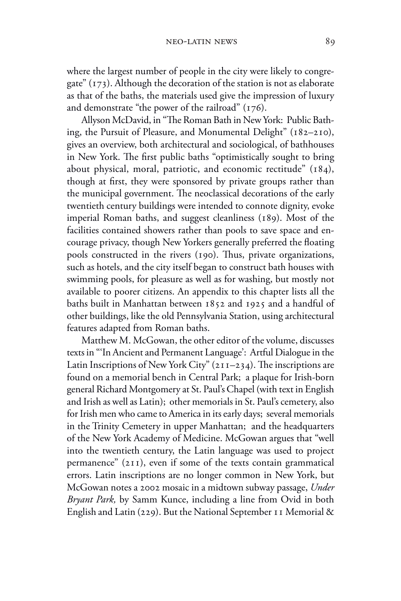where the largest number of people in the city were likely to congregate" (173). Although the decoration of the station is not as elaborate as that of the baths, the materials used give the impression of luxury and demonstrate "the power of the railroad" (176).

Allyson McDavid, in "The Roman Bath in New York: Public Bathing, the Pursuit of Pleasure, and Monumental Delight" (182–210), gives an overview, both architectural and sociological, of bathhouses in New York. The first public baths "optimistically sought to bring about physical, moral, patriotic, and economic rectitude" (184), though at first, they were sponsored by private groups rather than the municipal government. The neoclassical decorations of the early twentieth century buildings were intended to connote dignity, evoke imperial Roman baths, and suggest cleanliness (189). Most of the facilities contained showers rather than pools to save space and encourage privacy, though New Yorkers generally preferred the floating pools constructed in the rivers (190). Thus, private organizations, such as hotels, and the city itself began to construct bath houses with swimming pools, for pleasure as well as for washing, but mostly not available to poorer citizens. An appendix to this chapter lists all the baths built in Manhattan between 1852 and 1925 and a handful of other buildings, like the old Pennsylvania Station, using architectural features adapted from Roman baths.

Matthew M. McGowan, the other editor of the volume, discusses texts in "'In Ancient and Permanent Language': Artful Dialogue in the Latin Inscriptions of New York City"  $(211-234)$ . The inscriptions are found on a memorial bench in Central Park; a plaque for Irish-born general Richard Montgomery at St. Paul's Chapel (with text in English and Irish as well as Latin); other memorials in St. Paul's cemetery, also for Irish men who came to America in its early days; several memorials in the Trinity Cemetery in upper Manhattan; and the headquarters of the New York Academy of Medicine. McGowan argues that "well into the twentieth century, the Latin language was used to project permanence" (211), even if some of the texts contain grammatical errors. Latin inscriptions are no longer common in New York, but McGowan notes a 2002 mosaic in a midtown subway passage, *Under Bryant Park,* by Samm Kunce, including a line from Ovid in both English and Latin (229). But the National September 11 Memorial &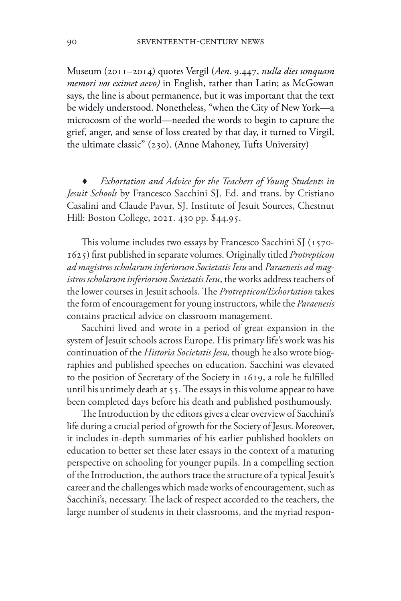Museum (2011–2014) quotes Vergil (*Aen*. 9.447, *nulla dies umquam memori vos eximet aevo)* in English, rather than Latin; as McGowan says, the line is about permanence, but it was important that the text be widely understood. Nonetheless, "when the City of New York—a microcosm of the world—needed the words to begin to capture the grief, anger, and sense of loss created by that day, it turned to Virgil, the ultimate classic" (230). (Anne Mahoney, Tufts University)

*Exhortation and Advice for the Teachers of Young Students in Jesuit Schools* by Francesco Sacchini SJ. Ed. and trans. by Cristiano Casalini and Claude Pavur, SJ. Institute of Jesuit Sources, Chestnut Hill: Boston College, 2021. 430 pp. \$44.95.

This volume includes two essays by Francesco Sacchini SJ (1570- 1625) first published in separate volumes. Originally titled *Protrepticon ad magistros scholarum inferiorum Societatis Iesu* and *Paraenesis ad magistros scholarum inferiorum Societatis Iesu*, the works address teachers of the lower courses in Jesuit schools. The *Protrepticon/Exhortation* takes the form of encouragement for young instructors, while the *Paraenesis*  contains practical advice on classroom management.

Sacchini lived and wrote in a period of great expansion in the system of Jesuit schools across Europe. His primary life's work was his continuation of the *Historia Societatis Jesu,* though he also wrote biographies and published speeches on education. Sacchini was elevated to the position of Secretary of the Society in 1619, a role he fulfilled until his untimely death at 55. The essays in this volume appear to have been completed days before his death and published posthumously.

The Introduction by the editors gives a clear overview of Sacchini's life during a crucial period of growth for the Society of Jesus. Moreover, it includes in-depth summaries of his earlier published booklets on education to better set these later essays in the context of a maturing perspective on schooling for younger pupils. In a compelling section of the Introduction, the authors trace the structure of a typical Jesuit's career and the challenges which made works of encouragement, such as Sacchini's, necessary. The lack of respect accorded to the teachers, the large number of students in their classrooms, and the myriad respon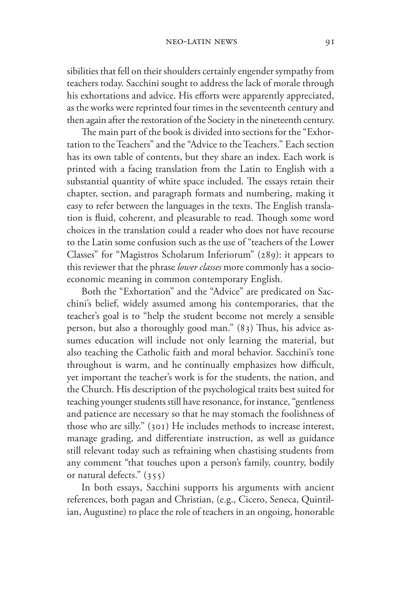sibilities that fell on their shoulders certainly engender sympathy from teachers today. Sacchini sought to address the lack of morale through his exhortations and advice. His efforts were apparently appreciated, as the works were reprinted four times in the seventeenth century and then again after the restoration of the Society in the nineteenth century.

The main part of the book is divided into sections for the "Exhortation to the Teachers" and the "Advice to the Teachers." Each section has its own table of contents, but they share an index. Each work is printed with a facing translation from the Latin to English with a substantial quantity of white space included. The essays retain their chapter, section, and paragraph formats and numbering, making it easy to refer between the languages in the texts. The English translation is fluid, coherent, and pleasurable to read. Though some word choices in the translation could a reader who does not have recourse to the Latin some confusion such as the use of "teachers of the Lower Classes" for "Magistros Scholarum Inferiorum" (289): it appears to this reviewer that the phrase *lower classes* more commonly has a socioeconomic meaning in common contemporary English.

Both the "Exhortation" and the "Advice" are predicated on Sacchini's belief, widely assumed among his contemporaries, that the teacher's goal is to "help the student become not merely a sensible person, but also a thoroughly good man." (83) Thus, his advice assumes education will include not only learning the material, but also teaching the Catholic faith and moral behavior. Sacchini's tone throughout is warm, and he continually emphasizes how difficult, yet important the teacher's work is for the students, the nation, and the Church. His description of the psychological traits best suited for teaching younger students still have resonance, for instance, "gentleness and patience are necessary so that he may stomach the foolishness of those who are silly." (301) He includes methods to increase interest, manage grading, and differentiate instruction, as well as guidance still relevant today such as refraining when chastising students from any comment "that touches upon a person's family, country, bodily or natural defects." (355)

In both essays, Sacchini supports his arguments with ancient references, both pagan and Christian, (e.g., Cicero, Seneca, Quintilian, Augustine) to place the role of teachers in an ongoing, honorable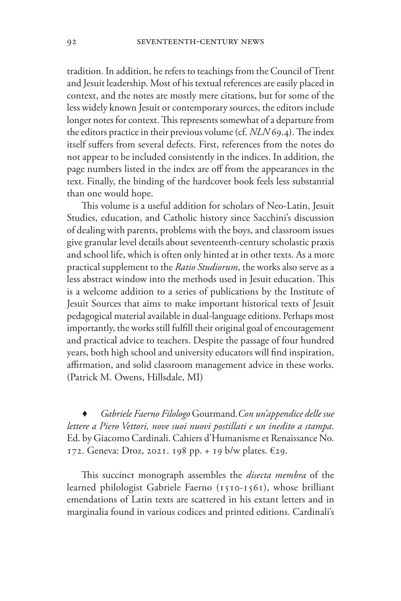tradition. In addition, he refers to teachings from the Council of Trent and Jesuit leadership. Most of his textual references are easily placed in context, and the notes are mostly mere citations, but for some of the less widely known Jesuit or contemporary sources, the editors include longer notes for context. This represents somewhat of a departure from the editors practice in their previous volume (cf. *NLN* 69.4). The index itself suffers from several defects. First, references from the notes do not appear to be included consistently in the indices. In addition, the page numbers listed in the index are off from the appearances in the text. Finally, the binding of the hardcover book feels less substantial than one would hope.

This volume is a useful addition for scholars of Neo-Latin, Jesuit Studies, education, and Catholic history since Sacchini's discussion of dealing with parents, problems with the boys, and classroom issues give granular level details about seventeenth-century scholastic praxis and school life, which is often only hinted at in other texts. As a more practical supplement to the *Ratio Studiorum*, the works also serve as a less abstract window into the methods used in Jesuit education. This is a welcome addition to a series of publications by the Institute of Jesuit Sources that aims to make important historical texts of Jesuit pedagogical material available in dual-language editions. Perhaps most importantly, the works still fulfill their original goal of encouragement and practical advice to teachers. Despite the passage of four hundred years, both high school and university educators will find inspiration, affirmation, and solid classroom management advice in these works. (Patrick M. Owens, Hillsdale, MI)

♦ *Gabriele Faerno Filologo* Gourmand*.Con un'appendice delle sue lettere a Piero Vettori, nove suoi nuovi postillati e un inedito a stampa*. Ed. by Giacomo Cardinali. Cahiers d'Humanisme et Renaissance No. 172. Geneva: Droz, 2021. 198 pp. + 19 b/w plates. €29.

This succinct monograph assembles the *disecta membra* of the learned philologist Gabriele Faerno (1510-1561), whose brilliant emendations of Latin texts are scattered in his extant letters and in marginalia found in various codices and printed editions. Cardinali's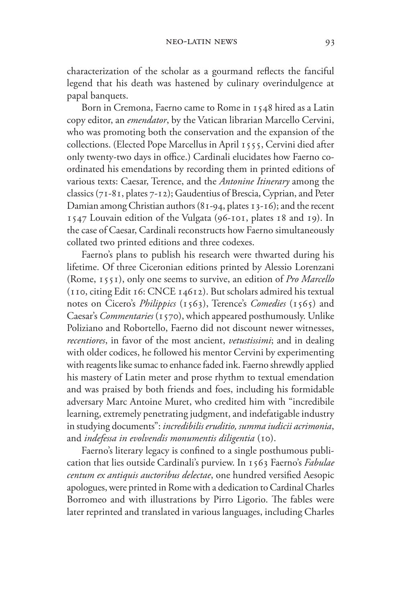characterization of the scholar as a gourmand reflects the fanciful legend that his death was hastened by culinary overindulgence at papal banquets.

Born in Cremona, Faerno came to Rome in 1548 hired as a Latin copy editor, an *emendator*, by the Vatican librarian Marcello Cervini, who was promoting both the conservation and the expansion of the collections. (Elected Pope Marcellus in April 1555, Cervini died after only twenty-two days in office.) Cardinali elucidates how Faerno coordinated his emendations by recording them in printed editions of various texts: Caesar, Terence, and the *Antonine Itinerary* among the classics (71-81, plates 7-12); Gaudentius of Brescia, Cyprian, and Peter Damian among Christian authors (81-94, plates 13-16); and the recent 1547 Louvain edition of the Vulgata (96-101, plates 18 and 19). In the case of Caesar, Cardinali reconstructs how Faerno simultaneously collated two printed editions and three codexes.

Faerno's plans to publish his research were thwarted during his lifetime. Of three Ciceronian editions printed by Alessio Lorenzani (Rome, 1551), only one seems to survive, an edition of *Pro Marcello* (110, citing Edit 16: CNCE 14612). But scholars admired his textual notes on Cicero's *Philippics* (1563), Terence's *Comedies* (1565) and Caesar's *Commentaries* (1570), which appeared posthumously. Unlike Poliziano and Robortello, Faerno did not discount newer witnesses, *recentiores*, in favor of the most ancient, *vetustissimi*; and in dealing with older codices, he followed his mentor Cervini by experimenting with reagents like sumac to enhance faded ink. Faerno shrewdly applied his mastery of Latin meter and prose rhythm to textual emendation and was praised by both friends and foes, including his formidable adversary Marc Antoine Muret, who credited him with "incredibile learning, extremely penetrating judgment, and indefatigable industry in studying documents": *incredibilis eruditio, summa iudicii acrimonia*, and *indefessa in evolvendis monumentis diligentia* (10).

Faerno's literary legacy is confined to a single posthumous publication that lies outside Cardinali's purview. In 1563 Faerno's *Fabulae centum ex antiquis auctoribus delectae*, one hundred versified Aesopic apologues, were printed in Rome with a dedication to Cardinal Charles Borromeo and with illustrations by Pirro Ligorio. The fables were later reprinted and translated in various languages, including Charles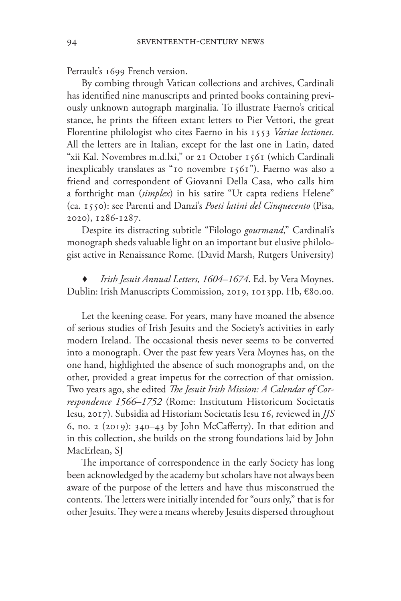Perrault's 1699 French version.

By combing through Vatican collections and archives, Cardinali has identified nine manuscripts and printed books containing previously unknown autograph marginalia. To illustrate Faerno's critical stance, he prints the fifteen extant letters to Pier Vettori, the great Florentine philologist who cites Faerno in his 1553 *Variae lectiones*. All the letters are in Italian, except for the last one in Latin, dated "xii Kal. Novembres m.d.lxi," or 21 October 1561 (which Cardinali inexplicably translates as "10 novembre 1561"). Faerno was also a friend and correspondent of Giovanni Della Casa, who calls him a forthright man (*simplex*) in his satire "Ut capta rediens Helene" (ca. 1550): see Parenti and Danzi's *Poeti latini del Cinquecento* (Pisa, 2020), 1286-1287.

Despite its distracting subtitle "Filologo *gourmand*," Cardinali's monograph sheds valuable light on an important but elusive philologist active in Renaissance Rome. (David Marsh, Rutgers University)

♦ *Irish Jesuit Annual Letters, 1604–1674*. Ed. by Vera Moynes. Dublin: Irish Manuscripts Commission, 2019, 1013pp. Hb, €80.00.

Let the keening cease. For years, many have moaned the absence of serious studies of Irish Jesuits and the Society's activities in early modern Ireland. The occasional thesis never seems to be converted into a monograph. Over the past few years Vera Moynes has, on the one hand, highlighted the absence of such monographs and, on the other, provided a great impetus for the correction of that omission. Two years ago, she edited *The Jesuit Irish Mission: A Calendar of Correspondence 1566–1752* (Rome: Institutum Historicum Societatis Iesu, 2017). Subsidia ad Historiam Societatis Iesu 16, reviewed in *JJS* 6, no. 2 (2019): 340–43 by John McCafferty). In that edition and in this collection, she builds on the strong foundations laid by John MacErlean, SJ

The importance of correspondence in the early Society has long been acknowledged by the academy but scholars have not always been aware of the purpose of the letters and have thus misconstrued the contents. The letters were initially intended for "ours only," that is for other Jesuits. They were a means whereby Jesuits dispersed throughout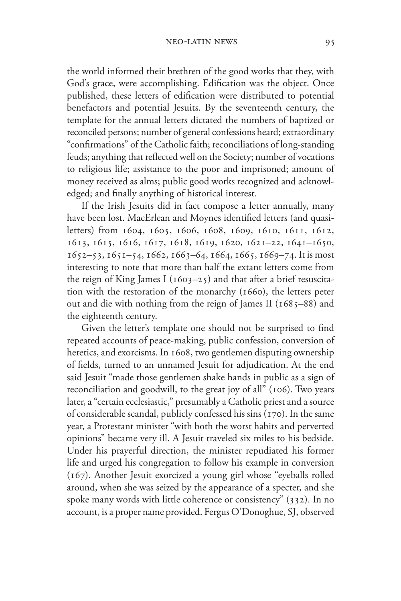the world informed their brethren of the good works that they, with God's grace, were accomplishing. Edification was the object. Once published, these letters of edification were distributed to potential benefactors and potential Jesuits. By the seventeenth century, the template for the annual letters dictated the numbers of baptized or reconciled persons; number of general confessions heard; extraordinary "confirmations" of the Catholic faith; reconciliations of long-standing feuds; anything that reflected well on the Society; number of vocations to religious life; assistance to the poor and imprisoned; amount of money received as alms; public good works recognized and acknowledged; and finally anything of historical interest.

If the Irish Jesuits did in fact compose a letter annually, many have been lost. MacErlean and Moynes identified letters (and quasiletters) from 1604, 1605, 1606, 1608, 1609, 1610, 1611, 1612, 1613, 1615, 1616, 1617, 1618, 1619, 1620, 1621–22, 1641–1650,  $1652-53$ ,  $1651-54$ ,  $1662$ ,  $1663-64$ ,  $1664$ ,  $1665$ ,  $1669-74$ . It is most interesting to note that more than half the extant letters come from the reign of King James I ( $1603-25$ ) and that after a brief resuscitation with the restoration of the monarchy (1660), the letters peter out and die with nothing from the reign of James II (1685–88) and the eighteenth century.

Given the letter's template one should not be surprised to find repeated accounts of peace-making, public confession, conversion of heretics, and exorcisms. In 1608, two gentlemen disputing ownership of fields, turned to an unnamed Jesuit for adjudication. At the end said Jesuit "made those gentlemen shake hands in public as a sign of reconciliation and goodwill, to the great joy of all" (106). Two years later, a "certain ecclesiastic," presumably a Catholic priest and a source of considerable scandal, publicly confessed his sins (170). In the same year, a Protestant minister "with both the worst habits and perverted opinions" became very ill. A Jesuit traveled six miles to his bedside. Under his prayerful direction, the minister repudiated his former life and urged his congregation to follow his example in conversion (167). Another Jesuit exorcized a young girl whose "eyeballs rolled around, when she was seized by the appearance of a specter, and she spoke many words with little coherence or consistency" (332). In no account, is a proper name provided. Fergus O'Donoghue, SJ, observed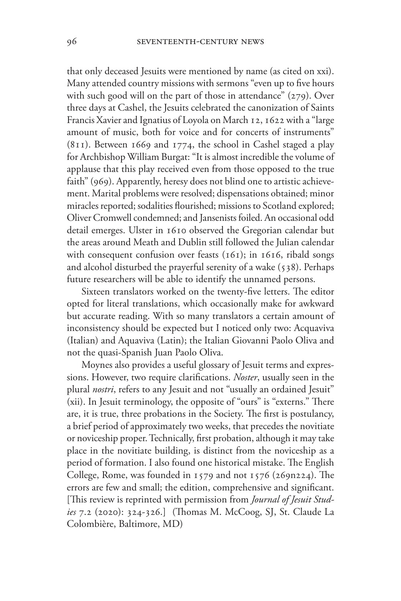that only deceased Jesuits were mentioned by name (as cited on xxi). Many attended country missions with sermons "even up to five hours with such good will on the part of those in attendance" (279). Over three days at Cashel, the Jesuits celebrated the canonization of Saints Francis Xavier and Ignatius of Loyola on March 12, 1622 with a "large amount of music, both for voice and for concerts of instruments" (811). Between 1669 and 1774, the school in Cashel staged a play for Archbishop William Burgat: "It is almost incredible the volume of applause that this play received even from those opposed to the true faith" (969). Apparently, heresy does not blind one to artistic achievement. Marital problems were resolved; dispensations obtained; minor miracles reported; sodalities flourished; missions to Scotland explored; Oliver Cromwell condemned; and Jansenists foiled. An occasional odd detail emerges. Ulster in 1610 observed the Gregorian calendar but the areas around Meath and Dublin still followed the Julian calendar with consequent confusion over feasts  $(161)$ ; in 1616, ribald songs and alcohol disturbed the prayerful serenity of a wake (538). Perhaps future researchers will be able to identify the unnamed persons.

Sixteen translators worked on the twenty-five letters. The editor opted for literal translations, which occasionally make for awkward but accurate reading. With so many translators a certain amount of inconsistency should be expected but I noticed only two: Acquaviva (Italian) and Aquaviva (Latin); the Italian Giovanni Paolo Oliva and not the quasi-Spanish Juan Paolo Oliva.

Moynes also provides a useful glossary of Jesuit terms and expressions. However, two require clarifications. *Noster*, usually seen in the plural *nostri*, refers to any Jesuit and not "usually an ordained Jesuit" (xii). In Jesuit terminology, the opposite of "ours" is "externs." There are, it is true, three probations in the Society. The first is postulancy, a brief period of approximately two weeks, that precedes the novitiate or noviceship proper. Technically, first probation, although it may take place in the novitiate building, is distinct from the noviceship as a period of formation. I also found one historical mistake. The English College, Rome, was founded in 1579 and not 1576 (269n224). The errors are few and small; the edition, comprehensive and significant. [This review is reprinted with permission from *Journal of Jesuit Studies* 7.2 (2020): 324-326.] (Thomas M. McCoog, SJ, St. Claude La Colombière, Baltimore, MD)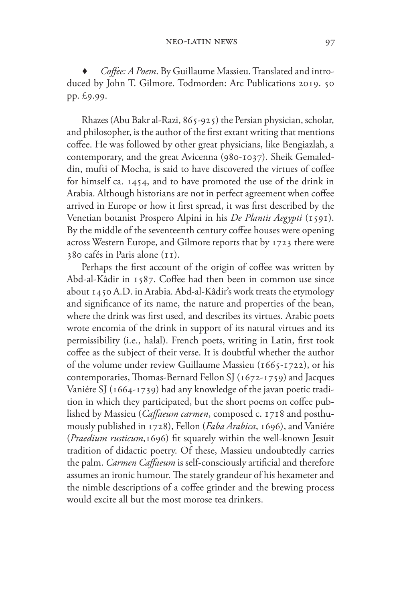*Coffee: A Poem.* By Guillaume Massieu. Translated and introduced by John T. Gilmore. Todmorden: Arc Publications 2019. 50 pp. £9.99.

Rhazes (Abu Bakr al-Razi, 865-925) the Persian physician, scholar, and philosopher, is the author of the first extant writing that mentions coffee. He was followed by other great physicians, like Bengiazlah, a contemporary, and the great Avicenna (980-1037). Sheik Gemaleddin, mufti of Mocha, is said to have discovered the virtues of coffee for himself ca. 1454, and to have promoted the use of the drink in Arabia. Although historians are not in perfect agreement when coffee arrived in Europe or how it first spread, it was first described by the Venetian botanist Prospero Alpini in his *De Plantis Aegypti* (1591). By the middle of the seventeenth century coffee houses were opening across Western Europe, and Gilmore reports that by 1723 there were 380 cafés in Paris alone (11).

Perhaps the first account of the origin of coffee was written by Abd-al-Kâdir in 1587. Coffee had then been in common use since about 1450 A.D. in Arabia. Abd-al-Kâdir's work treats the etymology and significance of its name, the nature and properties of the bean, where the drink was first used, and describes its virtues. Arabic poets wrote encomia of the drink in support of its natural virtues and its permissibility (i.e., halal). French poets, writing in Latin, first took coffee as the subject of their verse. It is doubtful whether the author of the volume under review Guillaume Massieu (1665-1722), or his contemporaries, Thomas-Bernard Fellon SJ (1672-1759) and Jacques Vaniére SJ (1664-1739) had any knowledge of the javan poetic tradition in which they participated, but the short poems on coffee published by Massieu (*Caffaeum carmen*, composed c. 1718 and posthumously published in 1728), Fellon (*Faba Arabica*, 1696), and Vaniére (*Praedium rusticum*,1696) fit squarely within the well-known Jesuit tradition of didactic poetry. Of these, Massieu undoubtedly carries the palm. *Carmen Caffaeum* is self-consciously artificial and therefore assumes an ironic humour. The stately grandeur of his hexameter and the nimble descriptions of a coffee grinder and the brewing process would excite all but the most morose tea drinkers.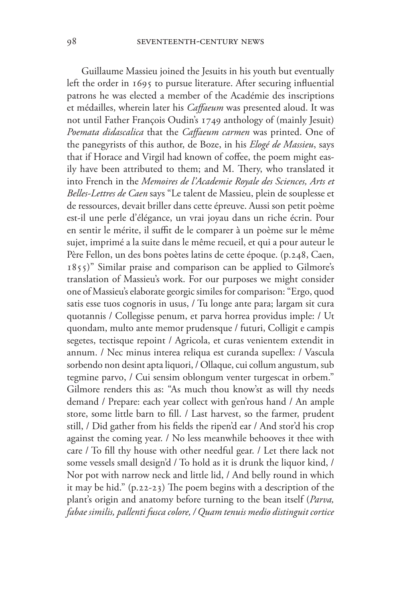Guillaume Massieu joined the Jesuits in his youth but eventually left the order in 1695 to pursue literature. After securing influential patrons he was elected a member of the Académie des inscriptions et médailles, wherein later his *Caffaeum* was presented aloud. It was not until Father François Oudin's 1749 anthology of (mainly Jesuit) *Poemata didascalica* that the *Caffaeum carmen* was printed. One of the panegyrists of this author, de Boze, in his *Elogé de Massieu*, says that if Horace and Virgil had known of coffee, the poem might easily have been attributed to them; and M. Thery, who translated it into French in the *Memoires de l'Academie Royale des Sciences, Arts et Belles-Lettres de Caen* says "Le talent de Massieu, plein de souplesse et de ressources, devait briller dans cette épreuve. Aussi son petit poème est-il une perle d'élégance, un vrai joyau dans un riche écrin. Pour en sentir le mérite, il suffit de le comparer à un poème sur le même sujet, imprimé a la suite dans le même recueil, et qui a pour auteur le Père Fellon, un des bons poètes latins de cette époque. (p.248, Caen, 1855)" Similar praise and comparison can be applied to Gilmore's translation of Massieu's work. For our purposes we might consider one of Massieu's elaborate georgic similes for comparison: "Ergo, quod satis esse tuos cognoris in usus, / Tu longe ante para; largam sit cura quotannis / Collegisse penum, et parva horrea providus imple: / Ut quondam, multo ante memor prudensque / futuri, Colligit e campis segetes, tectisque repoint / Agricola, et curas venientem extendit in annum. / Nec minus interea reliqua est curanda supellex: / Vascula sorbendo non desint apta liquori, / Ollaque, cui collum angustum, sub tegmine parvo, / Cui sensim oblongum venter turgescat in orbem." Gilmore renders this as: "As much thou know'st as will thy needs demand / Prepare: each year collect with gen'rous hand / An ample store, some little barn to fill. / Last harvest, so the farmer, prudent still, / Did gather from his fields the ripen'd ear / And stor'd his crop against the coming year. / No less meanwhile behooves it thee with care / To fill thy house with other needful gear. / Let there lack not some vessels small design'd / To hold as it is drunk the liquor kind, / Nor pot with narrow neck and little lid, / And belly round in which it may be hid." (p.22-23) The poem begins with a description of the plant's origin and anatomy before turning to the bean itself (*Parva, fabae similis, pallenti fusca colore, / Quam tenuis medio distinguit cortice*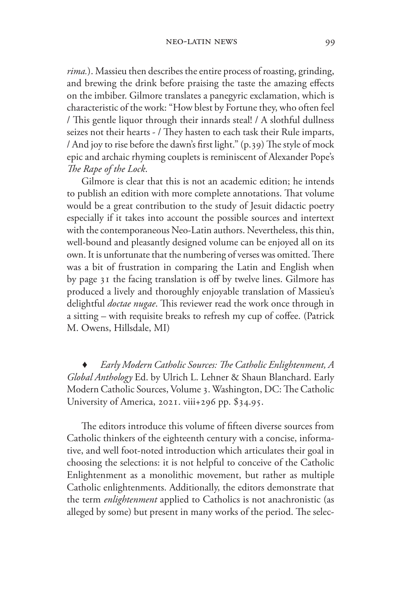*rima.*). Massieu then describes the entire process of roasting, grinding, and brewing the drink before praising the taste the amazing effects on the imbiber. Gilmore translates a panegyric exclamation, which is characteristic of the work: "How blest by Fortune they, who often feel / This gentle liquor through their innards steal! / A slothful dullness seizes not their hearts - / They hasten to each task their Rule imparts, / And joy to rise before the dawn's first light." (p.39) The style of mock epic and archaic rhyming couplets is reminiscent of Alexander Pope's *The Rape of the Lock*.

Gilmore is clear that this is not an academic edition; he intends to publish an edition with more complete annotations. That volume would be a great contribution to the study of Jesuit didactic poetry especially if it takes into account the possible sources and intertext with the contemporaneous Neo-Latin authors. Nevertheless, this thin, well-bound and pleasantly designed volume can be enjoyed all on its own. It is unfortunate that the numbering of verses was omitted. There was a bit of frustration in comparing the Latin and English when by page 31 the facing translation is off by twelve lines. Gilmore has produced a lively and thoroughly enjoyable translation of Massieu's delightful *doctae nugae*. This reviewer read the work once through in a sitting – with requisite breaks to refresh my cup of coffee. (Patrick M. Owens, Hillsdale, MI)

Early Modern Catholic Sources: The Catholic Enlightenment, A *Global Anthology* Ed. by Ulrich L. Lehner & Shaun Blanchard. Early Modern Catholic Sources, Volume 3. Washington, DC: The Catholic University of America, 2021. viii+296 pp. \$34.95.

The editors introduce this volume of fifteen diverse sources from Catholic thinkers of the eighteenth century with a concise, informative, and well foot-noted introduction which articulates their goal in choosing the selections: it is not helpful to conceive of the Catholic Enlightenment as a monolithic movement, but rather as multiple Catholic enlightenments. Additionally, the editors demonstrate that the term *enlightenment* applied to Catholics is not anachronistic (as alleged by some) but present in many works of the period. The selec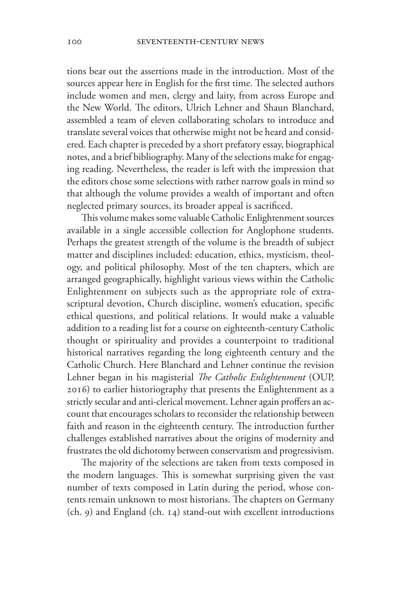tions bear out the assertions made in the introduction. Most of the sources appear here in English for the first time. The selected authors include women and men, clergy and laity, from across Europe and the New World. The editors, Ulrich Lehner and Shaun Blanchard, assembled a team of eleven collaborating scholars to introduce and translate several voices that otherwise might not be heard and considered. Each chapter is preceded by a short prefatory essay, biographical notes, and a brief bibliography. Many of the selections make for engaging reading. Nevertheless, the reader is left with the impression that the editors chose some selections with rather narrow goals in mind so that although the volume provides a wealth of important and often neglected primary sources, its broader appeal is sacrificed.

This volume makes some valuable Catholic Enlightenment sources available in a single accessible collection for Anglophone students. Perhaps the greatest strength of the volume is the breadth of subject matter and disciplines included: education, ethics, mysticism, theology, and political philosophy. Most of the ten chapters, which are arranged geographically, highlight various views within the Catholic Enlightenment on subjects such as the appropriate role of extrascriptural devotion, Church discipline, women's education, specific ethical questions, and political relations. It would make a valuable addition to a reading list for a course on eighteenth-century Catholic thought or spirituality and provides a counterpoint to traditional historical narratives regarding the long eighteenth century and the Catholic Church. Here Blanchard and Lehner continue the revision Lehner began in his magisterial *The Catholic Enlightenment* (OUP, 2016) to earlier historiography that presents the Enlightenment as a strictly secular and anti-clerical movement. Lehner again proffers an account that encourages scholars to reconsider the relationship between faith and reason in the eighteenth century. The introduction further challenges established narratives about the origins of modernity and frustrates the old dichotomy between conservatism and progressivism.

The majority of the selections are taken from texts composed in the modern languages. This is somewhat surprising given the vast number of texts composed in Latin during the period, whose contents remain unknown to most historians. The chapters on Germany (ch. 9) and England (ch. 14) stand-out with excellent introductions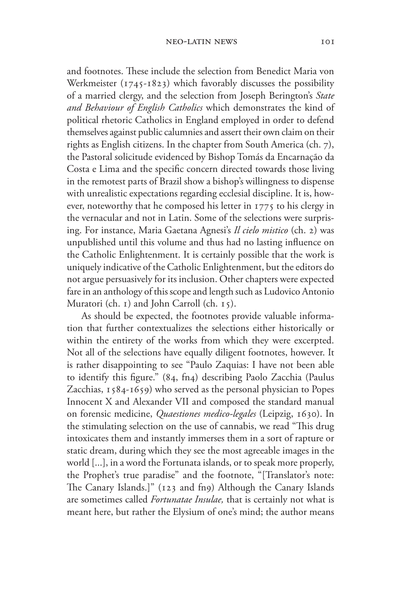and footnotes. These include the selection from Benedict Maria von Werkmeister (1745-1823) which favorably discusses the possibility of a married clergy, and the selection from Joseph Berington's *State and Behaviour of English Catholics* which demonstrates the kind of political rhetoric Catholics in England employed in order to defend themselves against public calumnies and assert their own claim on their rights as English citizens. In the chapter from South America (ch. 7), the Pastoral solicitude evidenced by Bishop Tomás da Encarnação da Costa e Lima and the specific concern directed towards those living in the remotest parts of Brazil show a bishop's willingness to dispense with unrealistic expectations regarding ecclesial discipline. It is, however, noteworthy that he composed his letter in 1775 to his clergy in the vernacular and not in Latin. Some of the selections were surprising. For instance, Maria Gaetana Agnesi's *Il cielo mistico* (ch. 2) was unpublished until this volume and thus had no lasting influence on the Catholic Enlightenment. It is certainly possible that the work is uniquely indicative of the Catholic Enlightenment, but the editors do not argue persuasively for its inclusion. Other chapters were expected fare in an anthology of this scope and length such as Ludovico Antonio Muratori (ch. 1) and John Carroll (ch. 15).

As should be expected, the footnotes provide valuable information that further contextualizes the selections either historically or within the entirety of the works from which they were excerpted. Not all of the selections have equally diligent footnotes, however. It is rather disappointing to see "Paulo Zaquias: I have not been able to identify this figure." (84, fn4) describing Paolo Zacchia (Paulus Zacchias, 1584-1659) who served as the personal physician to Popes Innocent X and Alexander VII and composed the standard manual on forensic medicine, *Quaestiones medico-legales* (Leipzig, 1630). In the stimulating selection on the use of cannabis, we read "This drug intoxicates them and instantly immerses them in a sort of rapture or static dream, during which they see the most agreeable images in the world [...], in a word the Fortunata islands, or to speak more properly, the Prophet's true paradise" and the footnote, "[Translator's note: The Canary Islands.]" (123 and fn9) Although the Canary Islands are sometimes called *Fortunatae Insulae,* that is certainly not what is meant here, but rather the Elysium of one's mind; the author means